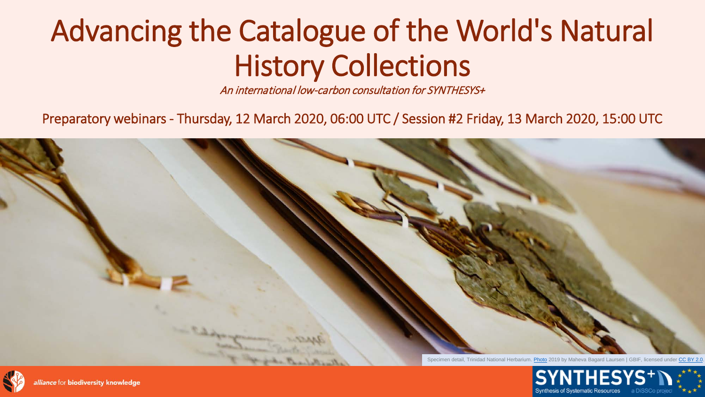#### Advancing the Catalogue of the World's Natural History Collections

An international low-carbon consultation for SYNTHESYS+

Preparatory webinars - Thursday, 12 March 2020, 06:00 UTC / Session #2 Friday, 13 March 2020, 15:00 UTC





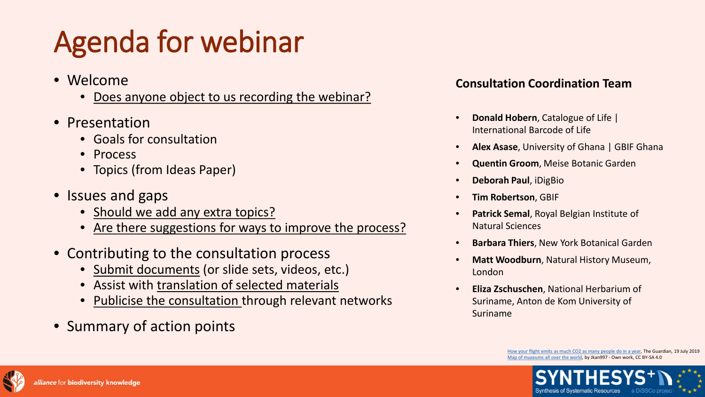## Agenda for webinar

- Welcome
	- Does anyone object to us recording the webinar?
- Presentation
	- Goals for consultation
	- Process
	- Topics (from Ideas Paper)
- Issues and gaps
	- Should we add any extra topics?
	- Are there suggestions for ways to improve the process?
- Contributing to the consultation process
	- Submit documents (or slide sets, videos, etc.)
	- Assist with translation of selected materials
	- Publicise the consultation through relevant networks
- Summary of action points

#### **Consultation Coordination Team**

- **Donald Hobern**, Catalogue of Life | International Barcode of Life
- **Alex Asase**, University of Ghana | GBIF Ghana
- **Quentin Groom**, Meise Botanic Garden
- **Deborah Paul**, iDigBio
- **Tim Robertson**, GBIF
- **Patrick Semal**, Royal Belgian Institute of Natural Sciences
- **Barbara Thiers**, New York Botanical Garden
- **Matt Woodburn**, Natural History Museum, London
- **Eliza Zschuschen**, National Herbarium of Suriname, Anton de Kom University of Suriname

[How your flight emits as much CO2 as many people do in a year,](https://www.theguardian.com/environment/ng-interactive/2019/jul/19/carbon-calculator-how-taking-one-flight-emits-as-much-as-many-people-do-in-a-year) The Guardian, 19 July 2019 [Map of museums all over the world](https://commons.wikimedia.org/w/index.php?curid=78152911), by Jkan997 - Own work, CC BY-SA 4.0



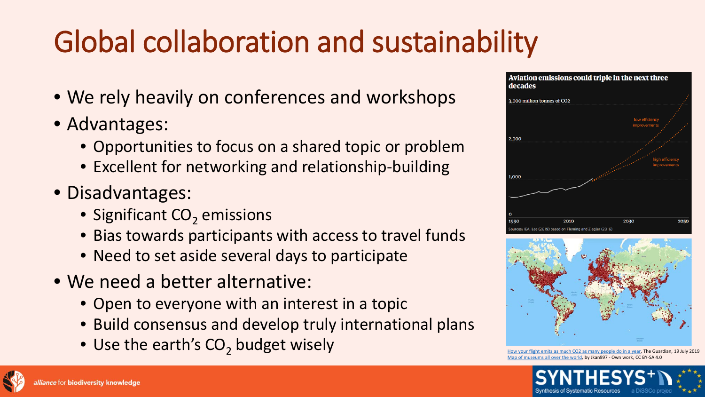# Global collaboration and sustainability

- We rely heavily on conferences and workshops
- Advantages:
	- Opportunities to focus on a shared topic or problem
	- Excellent for networking and relationship-building
- Disadvantages:
	- Significant  $CO<sub>2</sub>$  emissions
	- Bias towards participants with access to travel funds
	- Need to set aside several days to participate
- We need a better alternative:
	- Open to everyone with an interest in a topic
	- Build consensus and develop truly international plans
	- $\bullet\;\mathsf{Use}\;\mathsf{the}\;\mathsf{earth's}\;\mathsf{CO}_2\;\mathsf{budget}\;\mathsf{wisely}$   $\bullet\;\mathsf{How}\;$  [How your flight emits as much CO2 as many people do in a year,](https://www.theguardian.com/environment/ng-interactive/2019/jul/19/carbon-calculator-how-taking-one-flight-emits-as-much-as-many-people-do-in-a-year) The Guardian, 19 July 2019





[Map of museums all over the world](https://commons.wikimedia.org/w/index.php?curid=78152911), by Jkan997 - Own work, CC BY-SA 4.0



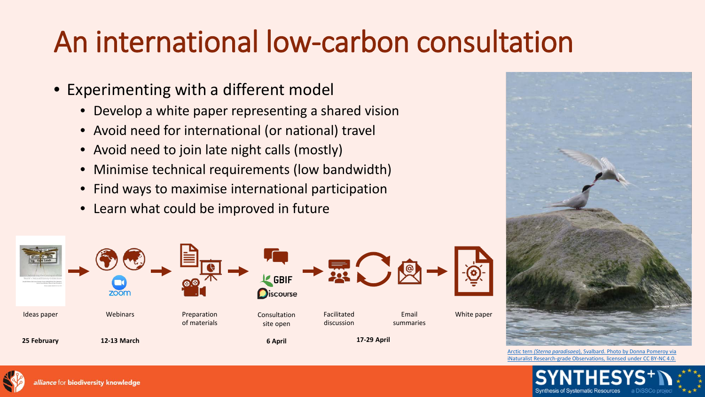#### An international low-carbon consultation

- Experimenting with a different model
	- Develop a white paper representing a shared vision
	- Avoid need for international (or national) travel
	- Avoid need to join late night calls (mostly)
	- Minimise technical requirements (low bandwidth)
	- Find ways to maximise international participation
	- Learn what could be improved in future



Arctic tern *(Sterna paradisaea*), Svalbard. Photo by Donna Pomeroy via [iNaturalist Research-grade Observations, licensed under CC BY-NC 4.0.](https://www.gbif.org/occurrence/2283203764)





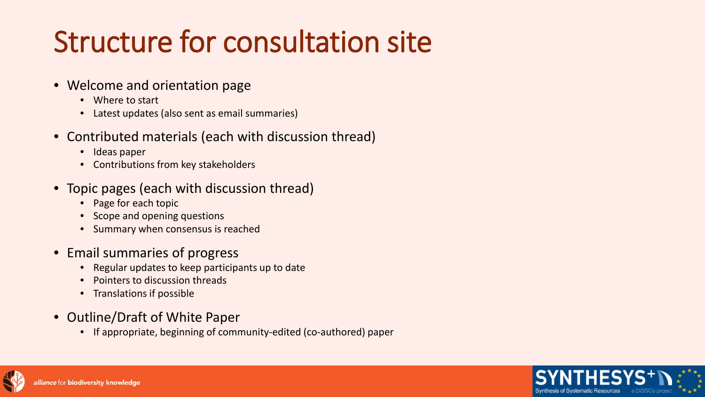### Structure for consultation site

#### • Welcome and orientation page

- Where to start
- Latest updates (also sent as email summaries)
- Contributed materials (each with discussion thread)
	- Ideas paper
	- Contributions from key stakeholders
- Topic pages (each with discussion thread)
	- Page for each topic
	- Scope and opening questions
	- Summary when consensus is reached
- Email summaries of progress
	- Regular updates to keep participants up to date
	- Pointers to discussion threads
	- Translations if possible
- Outline/Draft of White Paper
	- If appropriate, beginning of community-edited (co-authored) paper



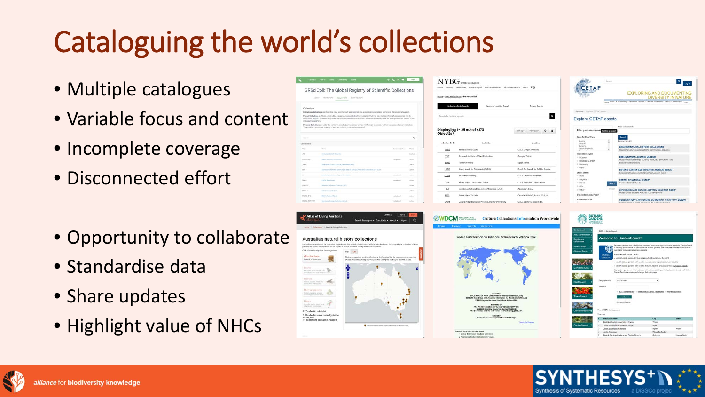# Cataloguing the world's collections

- Multiple catalogues
- Variable focus and content
- Incomplete coverage
- Disconnected effort
- Opportunity to collaborate
- Standardise data
- Share updates
- Highlight value of NHCs

|                                                             | GRSciColl: The Global Registry of Scientific Collections                                                                                                                                                                                                                                     |             |
|-------------------------------------------------------------|----------------------------------------------------------------------------------------------------------------------------------------------------------------------------------------------------------------------------------------------------------------------------------------------|-------------|
|                                                             | Allium - BETRUYONS - TOLLETIONS<br><b>ESIT MANAGER</b>                                                                                                                                                                                                                                       |             |
| Collections                                                 |                                                                                                                                                                                                                                                                                              |             |
|                                                             | Institutional Collections are those that have been formally accessioned into an institution and receive some level of institutional support.                                                                                                                                                 |             |
| individual researchers.                                     | Project Collections are those collected by a researcher associated with an institution that may have not been formally sconsioned into its<br>collections. Preaset Collections may eventually become part of the Institutional Collections or nemain under the management and control of the |             |
|                                                             | Personal Odlections are under the control of an individual researcher and are not formally associated with or accessioned win an institution.<br>They may be the personal property of a private tollector or otherwise orphanet.                                                             |             |
| The Afr                                                     |                                                                                                                                                                                                                                                                                              | Q           |
| 1,123 RESULTS                                               |                                                                                                                                                                                                                                                                                              |             |
| Cust                                                        | <b>Name</b><br>Australia Malve                                                                                                                                                                                                                                                               | The local   |
|                                                             |                                                                                                                                                                                                                                                                                              |             |
|                                                             | inclusives district Develops                                                                                                                                                                                                                                                                 | Institute   |
| 47.8<br>EAMLC AME                                           | Jos. For Michell a la Callenteri<br><b><i>Institutional</i></b>                                                                                                                                                                                                                              | Acres       |
|                                                             | Distinguists Colores Museum, Resture Ohnsenes.                                                                                                                                                                                                                                               | Arme        |
| <b>ADEN</b><br><b>EWS</b>                                   | Automa Secretarym de 174 Zunds Zarri Grenze Collectors 174 Zund-<br>Total                                                                                                                                                                                                                    | Active      |
|                                                             | <b>Institutional</b><br>Internal agreement and college day \$770 Electri-                                                                                                                                                                                                                    | <b>SITE</b> |
|                                                             | 1,780U Mw jestulega<br><b><i><u>Instructional</u></i></b>                                                                                                                                                                                                                                    | Acros       |
|                                                             | Intervisor Halamaga Packathon (ADE)                                                                                                                                                                                                                                                          | Active      |
|                                                             | Immotor relation                                                                                                                                                                                                                                                                             | Across      |
| <b>INT</b><br>Legal<br>COC-ARC<br>NAKAZ<br><b>WARRE CHA</b> | This Coloration Mobel.<br><b>Institutional</b>                                                                                                                                                                                                                                               | Active      |

| <b>YBG</b><br>Discount<br>Mottel           | STEERE HERBARICAL<br>Collections Science Digital Index Herbarionam Virtual Herbarium News VO |                   |                                        |   |   |
|--------------------------------------------|----------------------------------------------------------------------------------------------|-------------------|----------------------------------------|---|---|
|                                            | Home - Index Herbarionum - Herbarkaw List                                                    |                   |                                        |   |   |
|                                            | Herbarium Code Search<br>Name or Location Search                                             | Person Search     |                                        |   |   |
| Search for herbana by code                 |                                                                                              |                   |                                        |   |   |
| Displaying 1 - 25 out of 4173<br>Object(s) |                                                                                              | flort by +        | Per Page +                             | a | 謹 |
|                                            |                                                                                              |                   |                                        |   |   |
| <b>Herbarium Code</b>                      | <b>Institution</b>                                                                           |                   | Location                               |   |   |
| pors                                       | Forest Service, USDA                                                                         |                   | U.S.A. Oregon. Portland.               |   |   |
| <b>TBP</b>                                 | Research institute of Plant Protection                                                       | Georgia Thiếni    |                                        |   |   |
| <b>TANE</b>                                | Tarda University                                                                             | Egypt, Tanta.     |                                        |   |   |
| 141503                                     | Universidade do Rio Grande (FURG)                                                            |                   | Brazil: Rio Grande do Sul. Rio Grande. |   |   |
| LOMA                                       | La Siema University                                                                          |                   | U.S.A. California Biverside            |   |   |
| <b>B.H</b>                                 | Finger Lakes Community College                                                               |                   | U.S.A. New York. Canandaigus.          |   |   |
| <b>BAK</b>                                 | Azerbajan National Academy of Sciences (ANAS)                                                | Azerbaijan, Baku. |                                        |   |   |
| <b>UMG</b>                                 | University of Victoria                                                                       |                   | Canada British Columbia Victoria.      |   |   |

**OWDCM** 

c for Culture Collecti 1 Global distribution of culture cole<br>2 Registered Culture Collections b





las of Living Australi:

| ure Collections Information Worldwide                                                                                                       |                                                 | <b>BOTANIC</b><br>GARDENS<br>CONFIDENTIAL<br>INTERNATIONAL                       |                                                                                                                                                                                                                                                       |                            |              |  |
|---------------------------------------------------------------------------------------------------------------------------------------------|-------------------------------------------------|----------------------------------------------------------------------------------|-------------------------------------------------------------------------------------------------------------------------------------------------------------------------------------------------------------------------------------------------------|----------------------------|--------------|--|
|                                                                                                                                             | Controllegen                                    |                                                                                  |                                                                                                                                                                                                                                                       |                            |              |  |
|                                                                                                                                             | <b>About GaraxeSearch<sup>3</sup></b>           | BGCI > GardenSearch                                                              |                                                                                                                                                                                                                                                       |                            |              |  |
| JRE COLLECTIONS(SIXTH VERSION, 2014)                                                                                                        | Register as a<br>Clarated Citize                |                                                                                  | Welcome to GardenSearch!                                                                                                                                                                                                                              |                            |              |  |
|                                                                                                                                             | <b>Mapping applet</b><br><b>Advanced Search</b> | ∰                                                                                | Providing gardens with a visible with presence, even when they don't have a website. CardenSearch<br>is the only global source for information on botanic gardens. The database includes information on<br>over 3,667 programs institutions wondwide. |                            |              |  |
|                                                                                                                                             |                                                 | GARDEN                                                                           | GardenSearch allows you for.                                                                                                                                                                                                                          |                            |              |  |
|                                                                                                                                             |                                                 | <b>SEARCH</b>                                                                    | - Locate botanic gardens in your setghbourhood and around the world                                                                                                                                                                                   |                            |              |  |
|                                                                                                                                             |                                                 | . Identify bolanic gardens with specific resources and expertise Beyword searchs |                                                                                                                                                                                                                                                       |                            |              |  |
|                                                                                                                                             | ritan's Am                                      |                                                                                  | . Mentily holarac gardens with specific features, facilities and programmes (Advanced Search)                                                                                                                                                         |                            |              |  |
|                                                                                                                                             |                                                 |                                                                                  | Any botanic garden jor other institution with a documented plant collection) not already included in<br>GardenSearch can create and margoe their gen cage.                                                                                            |                            |              |  |
|                                                                                                                                             | <b>TantSearch</b>                               | Geographically.                                                                  | AX Countries                                                                                                                                                                                                                                          |                            |              |  |
|                                                                                                                                             |                                                 | Kayword:                                                                         |                                                                                                                                                                                                                                                       |                            |              |  |
| <b>Insured by</b><br>ata Center for Microongenisme/WDCM)<br>incling Information for Microbiology(TQ-AM)<br>erribers. World Data System.ICSU | <b>ThreatSearch</b>                             |                                                                                  | $\equiv$ BGCI Monitors only $\equiv$ Ethmusiceal Agenda Registratio $\equiv$ Addied Accredited<br><b>Teenth Sanderse</b><br>Advanced Search                                                                                                           |                            |              |  |
| Endorsed by<br>on for Culcure Collections/WFCC1<br>al Resources Center(UNESCO)<br>for Science and Technology/CODATA)                        | GlobalTreeSearch                                | Found 3867 billiarii: gardens                                                    |                                                                                                                                                                                                                                                       |                            |              |  |
| Edited by<br>aki Sugawara, Desmeth Phillippe                                                                                                |                                                 | View rises                                                                       |                                                                                                                                                                                                                                                       |                            |              |  |
| Stands The Database                                                                                                                         |                                                 | <b><i>Systemation Name</i></b><br>п                                              | Botanical Garden Universitet 1 Tranes                                                                                                                                                                                                                 | City<br>Tiranti            | <b>State</b> |  |
|                                                                                                                                             | <b>GardenSearch</b>                             | Jardin Botanique de Université d'Alger                                           |                                                                                                                                                                                                                                                       | Aiges                      |              |  |
|                                                                                                                                             |                                                 |                                                                                  | Jacob, Botanique, du Hannoy                                                                                                                                                                                                                           | Algers                     | Algeria      |  |
|                                                                                                                                             |                                                 | <b>Jardin Birlangan</b>                                                          |                                                                                                                                                                                                                                                       | Wilaya De Beithir          |              |  |
|                                                                                                                                             |                                                 |                                                                                  | Batanic Garden of Salazac and Floddic Reserve<br><b>CALL CAR THE REAL PROPERTY AND INCOME.</b>                                                                                                                                                        | Outlooke<br>March 19, 1971 | Kuanza Norte |  |



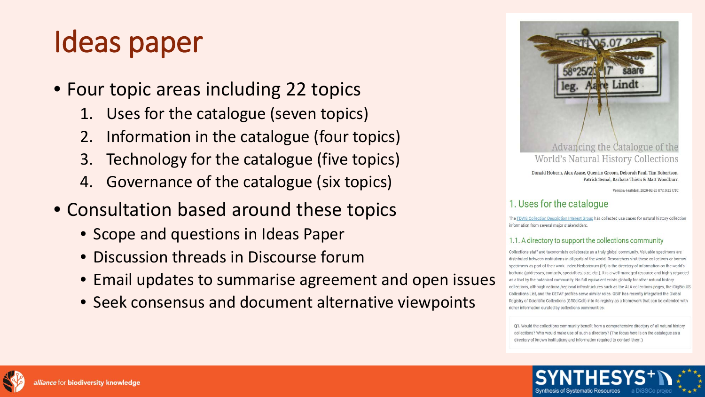### Ideas paper

- Four topic areas including 22 topics
	- 1. Uses for the catalogue (seven topics)
	- 2. Information in the catalogue (four topics)
	- 3. Technology for the catalogue (five topics)
	- 4. Governance of the catalogue (six topics)
- Consultation based around these topics
	- Scope and questions in Ideas Paper
	- Discussion threads in Discourse forum
	- Email updates to summarise agreement and open issues
	- Seek consensus and document alternative viewpoints



Donald Hobern, Alex Asase, Quentin Groom, Deborah Paul, Tim Robertson, Patrick Semal, Barbara Thiers & Matt Woodburn

Version 4ea8de8, 2020-02-25 07:19:22 UTC

#### 1. Uses for the catalogue

The TDWG Collection Description Interest Group has collected use cases for natural history collection information from several major stakeholders.

#### 1.1. A directory to support the collections community

Collections staff and taxonomists collaborate as a truly global community. Valuable specimens are distributed between institutions in all parts of the world. Researchers visit these collections or borrow specimens as part of their work. Index Herbariorum (IH) is the directory of information on the world's herbaria (addresses, contacts, specialties, size, etc.). It is a well-managed resource and highly regarded as a tool by the botanical community. No full equivalent exists globally for other natural history collections, although national/regional infrastructures such as the ALA collections pages, the iDigBio US Collections List, and the CETAF profiles serve similar roles. GBIF has recently integrated the Global Registry of Scientific Collections (GRSciColl) into its registry as a framework that can be extended with richer information curated by collections communities.

Q1. Would the collections community benefit from a comprehensive directory of all natural history collections? Who would make use of such a directory? (The focus here is on the catalogue as a directory of known institutions and information required to contact them.)



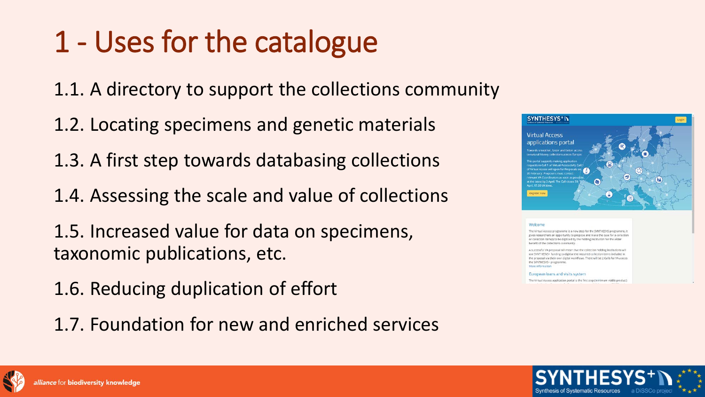#### 1 - Uses for the catalogue

1.1. A directory to support the collections community

- 1.2. Locating specimens and genetic materials
- 1.3. A first step towards databasing collections
- 1.4. Assessing the scale and value of collections
- 1.5. Increased value for data on specimens, taxonomic publications, etc.
- 1.6. Reducing duplication of effort
- 1.7. Foundation for new and enriched services



#### Welcome

he Virtual Access programme is a new step for the SYNTHESYS programme, I earchers an opportunity to propose and make the case for a collectio pliection item(s) to be digitised by the holding institution for the wide

A successful VA proposal will mean that the collection holding institutions wi use SYNTHESYS+ funding to digitise the required collection items included in the proposal via their own digital workflows. There will be 2 Calls for VA across the SYNTHESYS+ programme More informatic

#### European loans and visits system

The Virtual Access application portal is the first step (minimum viable product)



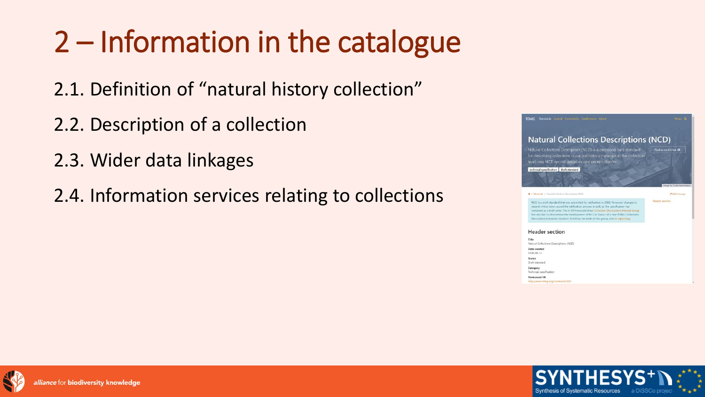### 2 – Information in the catalogue

- 2.1. Definition of "natural history collection"
- 2.2. Description of a collection
- 2.3. Wider data linkages
- 2.4. Information services relating to collections



Permanent IRI http://www.tchwg.org/standards/312

**Iliance for biodiversity knowledge** 

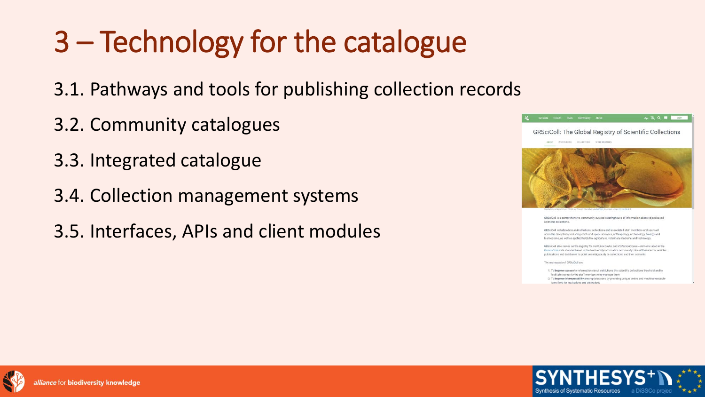## 3 – Technology for the catalogue

- 3.1. Pathways and tools for publishing collection records
- 3.2. Community catalogues
- 3.3. Integrated catalogue
- 3.4. Collection management systems
- 3.5. Interfaces, APIs and client modules



GRSciColl is a comprehensive, community-curated clearinghouse of information about object-base scientific collections

RSciColl includes data on institutions, collections and associated staff members and spans al scientific disciplines, including earth and space sciences, anthropology, archaeology, biology and medicine, as well as applied fields like agriculture, veterinary medicine and technology.

GRSciColl also serves as the registry for institutionCodes and CollectionCodes-elements used in the DarwinCore data standard used in the biodiversity informatics community. Use of these terms enables publications and databases to point unambiguously to collections and their contents.

The main goals of GRSciColi are.

1. To improve access to information about institutions the scientific collections they hold and to facilitate access to the staff members who manage them.

2. To improve interoperability among databases by providing unique codes and machine-readable dentifiers for institutions and collections



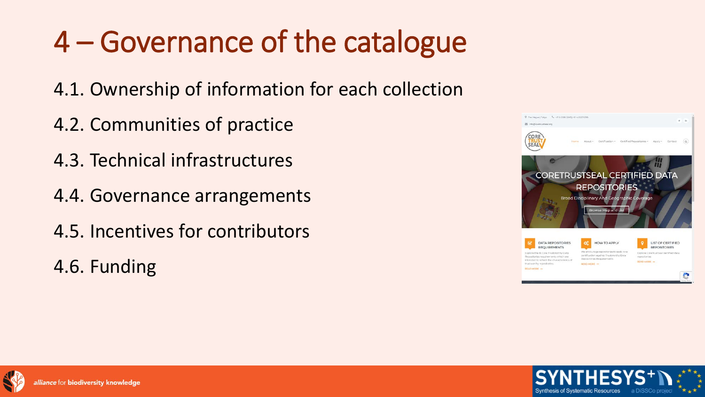## 4 – Governance of the catalogue

- 4.1. Ownership of information for each collection
- 4.2. Communities of practice
- 4.3. Technical infrastructures
- 4.4. Governance arrangements
- 4.5. Incentives for contributors
- 4.6. Funding





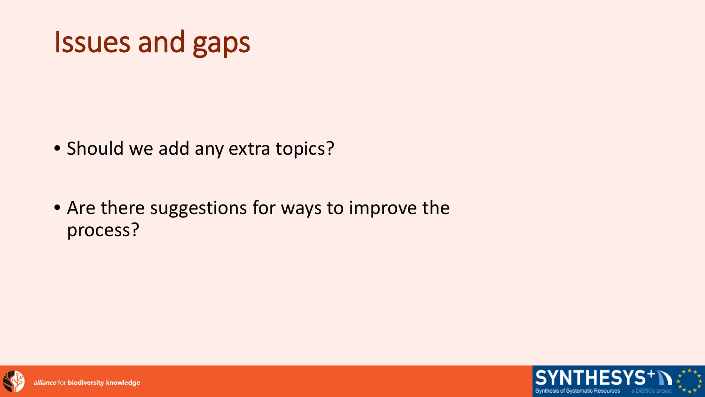#### Issues and gaps

- Should we add any extra topics?
- Are there suggestions for ways to improve the process?



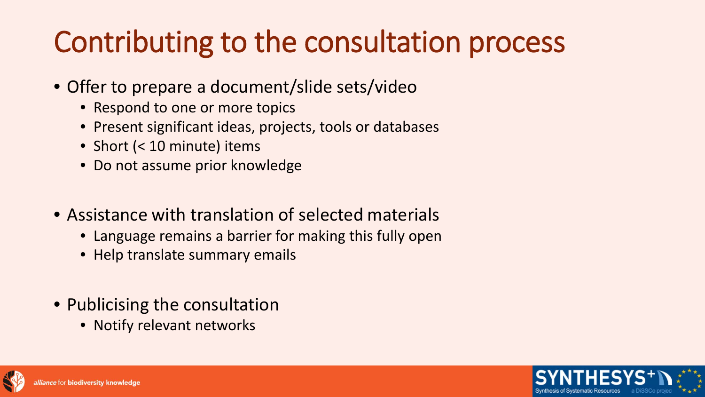#### Contributing to the consultation process

- Offer to prepare a document/slide sets/video
	- Respond to one or more topics
	- Present significant ideas, projects, tools or databases
	- Short (< 10 minute) items
	- Do not assume prior knowledge
- Assistance with translation of selected materials
	- Language remains a barrier for making this fully open
	- Help translate summary emails
- Publicising the consultation
	- Notify relevant networks